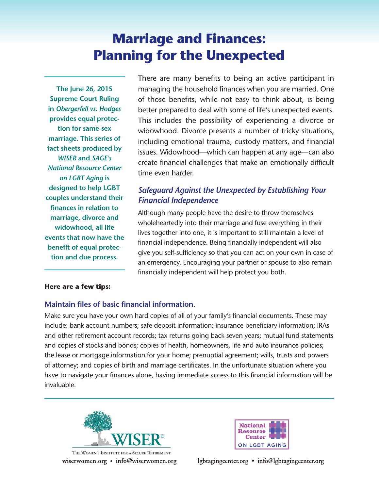# **Marriage and Finances: Planning for the Unexpected**

**The June 26, 2015 Supreme Court Ruling in** *Obergerfell vs. Hodges* **provides equal protection for same-sex marriage. This series of fact sheets produced by** *WISER* **and** *SAGE's National Resource Center on LGBT Aging* **is designed to help LGBT couples understand their finances in relation to marriage, divorce and widowhood, all life events that now have the benefit of equal protection and due process.**

There are many benefits to being an active participant in managing the household finances when you are married. One of those benefits, while not easy to think about, is being better prepared to deal with some of life's unexpected events. This includes the possibility of experiencing a divorce or widowhood. Divorce presents a number of tricky situations, including emotional trauma, custody matters, and financial issues. Widowhood—which can happen at any age—can also create financial challenges that make an emotionally difficult time even harder.

## *Safeguard Against the Unexpected by Establishing Your Financial Independence*

Although many people have the desire to throw themselves wholeheartedly into their marriage and fuse everything in their lives together into one, it is important to still maintain a level of financial independence. Being financially independent will also give you self-sufficiency so that you can act on your own in case of an emergency. Encouraging your partner or spouse to also remain financially independent will help protect you both.

#### **Here are a few tips:**

#### **Maintain files of basic financial information.**

Make sure you have your own hard copies of all of your family's financial documents. These may include: bank account numbers; safe deposit information; insurance beneficiary information; IRAs and other retirement account records; tax returns going back seven years; mutual fund statements and copies of stocks and bonds; copies of health, homeowners, life and auto insurance policies; the lease or mortgage information for your home; prenuptial agreement; wills, trusts and powers of attorney; and copies of birth and marriage certificates. In the unfortunate situation where you have to navigate your finances alone, having immediate access to this financial information will be invaluable.



**wiserwomen.org • info@wiserwomen.org THE WOMEN'S INSTITUTE FOR A SECURE RETIREMENT**



**lgbtagingcenter.org • info@lgbtagingcenter.org**